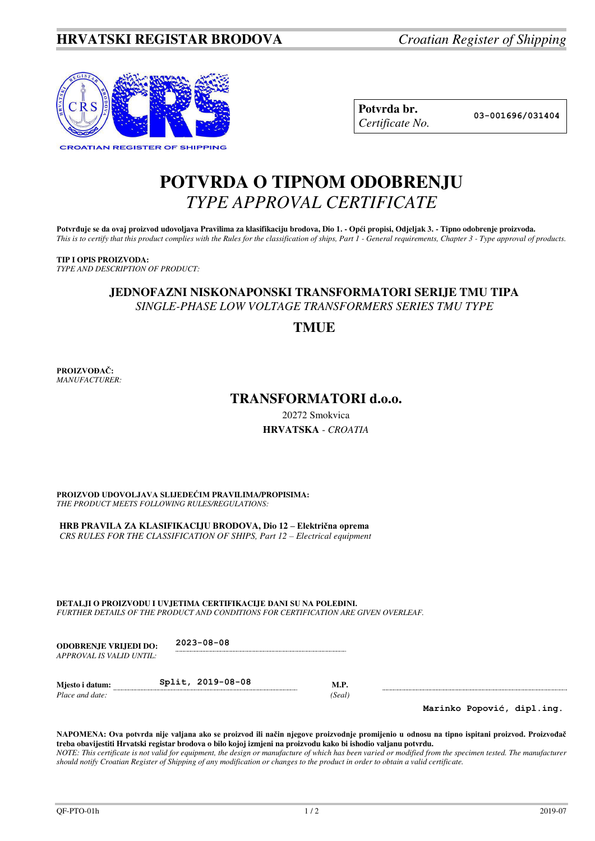

| Potvrda br.     |
|-----------------|
| Certificate No. |

**Potvrda br. 03-001696/031404**

## **POTVRDA O TIPNOM ODOBRENJU**  *TYPE APPROVAL CERTIFICATE*

Potvrđuje se da ovaj proizvod udovoljava Pravilima za klasifikaciju brodova, Dio 1. - Opći propisi, Odjeljak 3. - Tipno odobrenje proizvoda. *This is to certify that this product complies with the Rules for the classification of ships, Part 1 - General requirements, Chapter 3 - Type approval of products.* 

**TIP I OPIS PROIZVODA:** *TYPE AND DESCRIPTION OF PRODUCT:* 

## **JEDNOFAZNI NISKONAPONSKI TRANSFORMATORI SERIJE TMU TIPA** *SINGLE-PHASE LOW VOLTAGE TRANSFORMERS SERIES TMU TYPE*

**TMUE**

**PROIZVOĐAČ:** *MANUFACTURER:*

## **TRANSFORMATORI d.o.o.**

20272 Smokvica **HRVATSKA** - *CROATIA*

**PROIZVOD UDOVOLJAVA SLIJEDEĆIM PRAVILIMA/PROPISIMA:** *THE PRODUCT MEETS FOLLOWING RULES/REGULATIONS:* 

**HRB PRAVILA ZA KLASIFIKACIJU BRODOVA, Dio 12 – Električna oprema** *CRS RULES FOR THE CLASSIFICATION OF SHIPS, Part 12 – Electrical equipment* 

**DETALJI O PROIZVODU I UVJETIMA CERTIFIKACIJE DANI SU NA POLEĐINI.** *FURTHER DETAILS OF THE PRODUCT AND CONDITIONS FOR CERTIFICATION ARE GIVEN OVERLEAF.* 

**ODOBRENJE VRIJEDI DO: 2023-08-08** *APPROVAL IS VALID UNTIL:*

**Mjesto i datum: Split, 2019-08-08 M.P.** *Place and date:* (*Seal*) *Place and date:* 

**Marinko Popović, dipl.ing.**

**NAPOMENA: Ova potvrda nije valjana ako se proizvod ili način njegove proizvodnje promijenio u odnosu na tipno ispitani proizvod. Proizvođač treba obavijestiti Hrvatski registar brodova o bilo kojoj izmjeni na proizvodu kako bi ishodio valjanu potvrdu.**  *NOTE: This certificate is not valid for equipment, the design or manufacture of which has been varied or modified from the specimen tested. The manufacturer should notify Croatian Register of Shipping of any modification or changes to the product in order to obtain a valid certificate.*